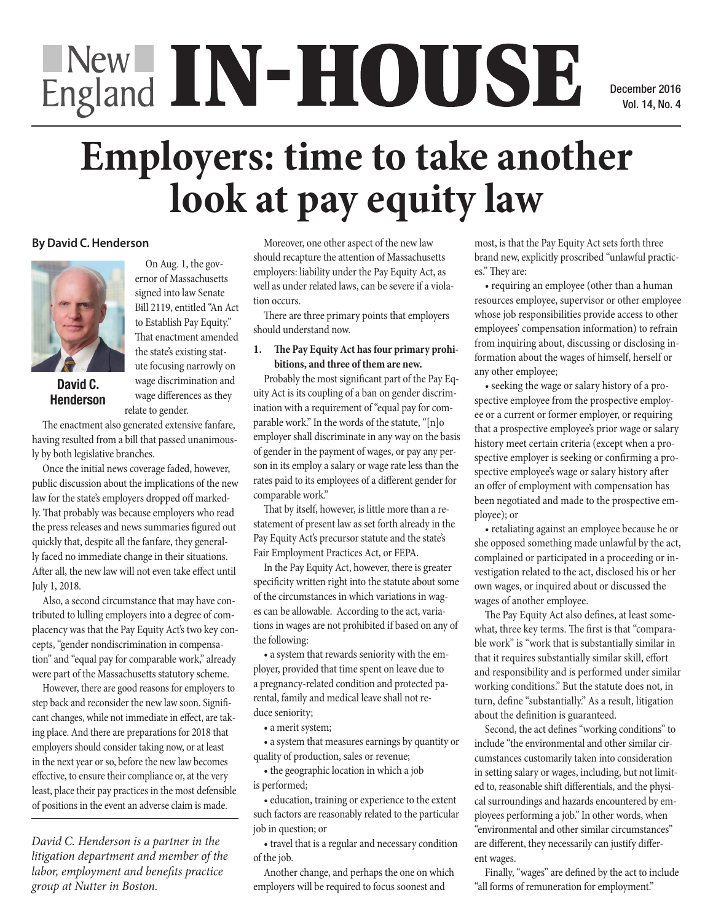# England IN-HOUSE

December 2014 December 2016 Vol. 14, No. 4

# **Employers: time to take another<br>
<b>Protect look** at pay equity law **look at pay equity law**  $\frac{1}{2}$  $\mathbf{B}$  can but down store during little little little little little little little little little little little

## **By David C. Henderson**



 $P_{\text{scat}}(A, \alpha)$ David C. **Henderson** insufficient to the property of  $\mathbf r$ 

On Aug. 1, the gov- $\frac{\text{smooth}}{\text{amplot}}$ **ECANADIAN SUBJECT ENDINEERS IN A SUBJECT ENDINEERS IN A SUBJECT END AND SUBJECT END AND SUBJECT END AND SUBJECT END AND SUBJECT END AND SUBJECT END AND SUBJECT END AND SUBJECT END AND SUBJECT END AND SUBJECT END AND SUBJE**  $\frac{1}{2}$  signed into law Senate  $\frac{1}{2}$  well as  $\mathbf{B}$  Bill 2119, entitled "An Act" **phone continued one callstoched <b>one continued on page 15***b* That enactment amended the state's existing stat-Inat enactment amended<br>
the state's existing stat-<br>
ute focusing narrowly on large discrimination and Pro are focusing narrowly on<br>wage discrimination and Pro wage differences as they ulty Ac relate to gender.  $\frac{1}{2}$  investment bank in the tion of  $\theta$ , entitied An Act  $\frac{1}{2}$  focusing party from a party from a party from a party from a party from a party from a party  $\frac{1}{2}$ age discrimination and they're seeking they

The enactment also generated extensive fanfare, having resulted from a bill that passed unanimously by both legislative branches. The enactment also generated extensive fanfare,

Once the initial news coverage faded, however, public discussion about the implications of the new law for the state's employers dropped off markedand for the states employers are ppear on manked.<br>Iy. That probably was because employers who read the press releases and news summaries figured out quickly that, despite all the fanfare, they generally faced no immediate change in their situations. After all, the new law will not even take effect until July  $1, 2018$ . Once the initial news coverage faded, however, Inat probably was beca herry that, desphé an the lo

y 1, 2010.<br>Also, a second circumstance that may have contributed to lulling employers into a degree of complacency was that the Pay Equity Act's two key concepts, "gender nondiscrimination in compensation" and "equal pay for comparable work," already were part of the Massachusetts statutory scheme. ency was that the Pay Equity Acts two key conforthe part of the Massachusetts statutory scheme. Physic, provided that the pregnancy-related

However, there are good reasons for employers to step back and reconsider the new law soon. Significant changes, while not immediate in effect, are taking place. And there are preparations for 2018 that employers should consider taking now, or at least in the next year or so, before the new law becomes effective, to ensure their compliance or, at the very least, place their pay practices in the most defensible of positions in the event an adverse claim is made. nt changes, while not immediate in effect, are tak-<br>a merit system the next year or so, before the new law becomes  $\frac{q}{\epsilon}$ 

*David C. Henderson is a partner in the litigation department and member of the labor, employment and benefits practice group at Nutter in Boston.* 

Moreover, one other aspect of the new law should recapture the attention of Massachusetts employers: liability under the Pay Equity Act, as well as under related laws, can be severe if a violation occurs. e possibility thatthe defendant

There are three primary points that employers should understand now. nce primary points that en.

### 1. The Pay Equity Act has four primary prohibitions, and three of them are new. play Act has four prima

Probably the most significant part of the Pay Eq- $\frac{1}{2}$  and  $\frac{1}{2}$  and  $\frac{1}{2}$  and  $\frac{1}{2}$  and  $\frac{1}{2}$  and  $\frac{1}{2}$  and  $\frac{1}{2}$  and  $\frac{1}{2}$  and  $\frac{1}{2}$  and  $\frac{1}{2}$  and  $\frac{1}{2}$  and  $\frac{1}{2}$  and  $\frac{1}{2}$  and  $\frac{1}{2}$  and  $\frac{1}{2}$  and  $\frac{1}{2}$  a ination with a requirement of "equal pay for comparable work." In the words of the statute, "[n]o employer shall discriminate in any way on the basis of gender in the payment of wages, or pay any person in its employ a salary or wage rate less than the rates paid to its employees of a different gender for comparable work." ouping of a ban on genuer iscriminate in any way of s employees of a different g employ<br>
of gend<br>
son in<br>
rates **p** 

That by itself, however, is little more than a restatement of present law as set forth already in the Pay Equity Act's precursor statute and the state's Fair Employment Practices Act, or FEPA. resent law as set forth airea

In the Pay Equity Act, however, there is greater specificity written right into the statute about some of the circumstances in which variations in wag-<br> **1sthere of comparison** in wages of another employee.<br> **1sthere** *es* **COMPARTS rights** *CCOP* **rights** *COPPARTS COPPARTS COPPARTS COPPARTS COPPARTS* es can be allowable. According to the act, variations in wages are not prohibited if based on any of the following:

 $\mathbf{F}_{\text{already}}$  a system that rewards seniority with the em- $\epsilon_{\rm scheme}$  ployer, provided that time spent on leave due to scheme.<br>
a pregnancy-related condition and protected parental, family and medical leave shall not re- $\frac{1}{\pi}$  duce seniority;

• a merit system;

2018 that  $\bullet$  a merit system;<br>  $\bullet$  a system that measures earnings by quantity or at least  $\frac{d}{dt}$  are  $\frac{d}{dt}$  are disputed and resolvence disputed and resolvence  $\frac{d}{dt}$  and  $\frac{d}{dt}$  are  $\frac{d}{dt}$  and  $\frac{d}{dt}$  are  $\frac{d}{dt}$  and  $\frac{d}{dt}$  are  $\frac{d}{dt}$  and  $\frac{d}{dt}$  are  $\frac{d}{dt}$  and  $\frac{d}{dt}$   $\alpha$  are determined as  $\alpha$  vehicle dealership.

 $\bullet$  the geographic location in which a job  $\bullet$  in  $\frac{d}{d}$  is performed;  $\mathsf{B}$ 

> • education, training or experience to the extent such factors are reasonably related to the particular job in question; or

> • travel that is a regular and necessary condition of the job.

Another change, and perhaps the one on which employers will be required to focus soonest and

most, is that the Pay Equity Act sets forth three brand new, explicitly proscribed "unlawful practic-**Balancing of harms** es." They are:

• requiring an employee (other than a human resources employee, supervisor or other employee whose job responsibilities provide access to other employees' compensation information) to refrain from inquiring about, discussing or disclosing information about the wages of himself, herself or any other employee; mployee (other than a hun  $\frac{1}{2}$  and  $\frac{1}{2}$  must matron  $\frac{1}{2}$  of  $\frac{1}{2}$  $\frac{1}{\alpha}$ 

%, other employer,<br>• seeking the wage or salary history of a prospective employee from the prospective employ $e^{i\theta}$  a current or former employer, or requiring  $t_1$ , that a prospective employee's prior wage or salary <sup>Dasis</sup> history meet certain criteria (except when a proly per-<br>spective employer is seeking or confirming a pro- $\frac{d}{dx}$  spective employee's wage or salary history after <sup>der for</sup> an offer of employment with compensation has been negotiated and made to the prospective em- $\frac{a_1c_1}{c_1}$  ployee); or  $\frac{1}{2}$  convenience  $f_{\text{on the}}$  for  $f_{\text{off}}$ cause its occurridgement ing the wage or salary history of a p1 holds over a values over a values. ormer employer, or require is sooking on conf seeking of community a goodwill, theBrooklinelawyersaid.<br>Brookline made to the prospective

 $\mathbf{R}^{\text{I} \text{I} \text{I} \text{I} \text{I} \text{I}}$   $\bullet$  retaliating against an employee because he or ate's she opposed something made unlawful by the act, complained or participated in a proceeding or investigation related to the act, disclosed his or her own wages, or inquired about or discussed the wages of another employee.

> The Pay Equity Act also defines, at least somewhat, three key terms. The first is that "comparable work" is "work that is substantially similar in that it requires substantially similar skill, effort and responsibility and is performed under similar working conditions." But the statute does not, in turn, define "substantially." As a result, litigation about the definition is guaranteed. binty and is performed und about the definition is guaranteed.

Second, the act defines "working conditions" to include "the environmental and other similar cirnetative the environmental and other similar encumstances customarily taken into consideration in setting salary or wages, including, but not limited to, reasonable shift differentials, and the physical surroundings and hazards encountered by employees performing a job." In other words, when "environmental and other similar circumstances" are different, they necessarily can justify different wages. nces customarily taken into consi

Finally, "wages" are defined by the act to include "all forms of remuneration for employment."